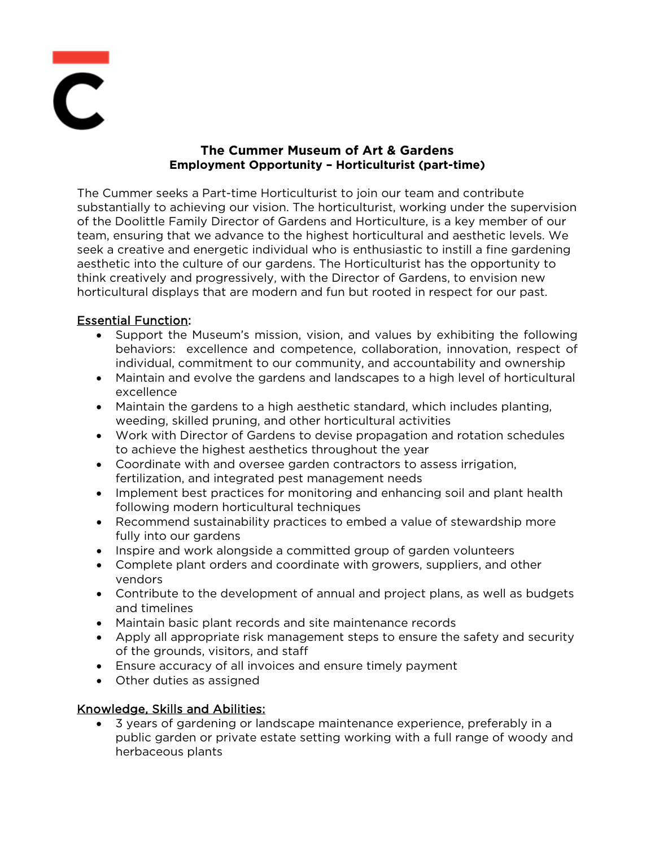

# **The Cummer Museum of Art & Gardens Employment Opportunity – Horticulturist (part-time)**

The Cummer seeks a Part-time Horticulturist to join our team and contribute substantially to achieving our vision. The horticulturist, working under the supervision of the Doolittle Family Director of Gardens and Horticulture, is a key member of our team, ensuring that we advance to the highest horticultural and aesthetic levels. We seek a creative and energetic individual who is enthusiastic to instill a fine gardening aesthetic into the culture of our gardens. The Horticulturist has the opportunity to think creatively and progressively, with the Director of Gardens, to envision new horticultural displays that are modern and fun but rooted in respect for our past.

# Essential Function:

- Support the Museum's mission, vision, and values by exhibiting the following behaviors: excellence and competence, collaboration, innovation, respect of individual, commitment to our community, and accountability and ownership
- Maintain and evolve the gardens and landscapes to a high level of horticultural excellence
- Maintain the gardens to a high aesthetic standard, which includes planting, weeding, skilled pruning, and other horticultural activities
- Work with Director of Gardens to devise propagation and rotation schedules to achieve the highest aesthetics throughout the year
- Coordinate with and oversee garden contractors to assess irrigation, fertilization, and integrated pest management needs
- Implement best practices for monitoring and enhancing soil and plant health following modern horticultural techniques
- Recommend sustainability practices to embed a value of stewardship more fully into our gardens
- Inspire and work alongside a committed group of garden volunteers
- Complete plant orders and coordinate with growers, suppliers, and other vendors
- Contribute to the development of annual and project plans, as well as budgets and timelines
- Maintain basic plant records and site maintenance records
- Apply all appropriate risk management steps to ensure the safety and security of the grounds, visitors, and staff
- Ensure accuracy of all invoices and ensure timely payment
- Other duties as assigned

# Knowledge, Skills and Abilities:

• 3 years of gardening or landscape maintenance experience, preferably in a public garden or private estate setting working with a full range of woody and herbaceous plants